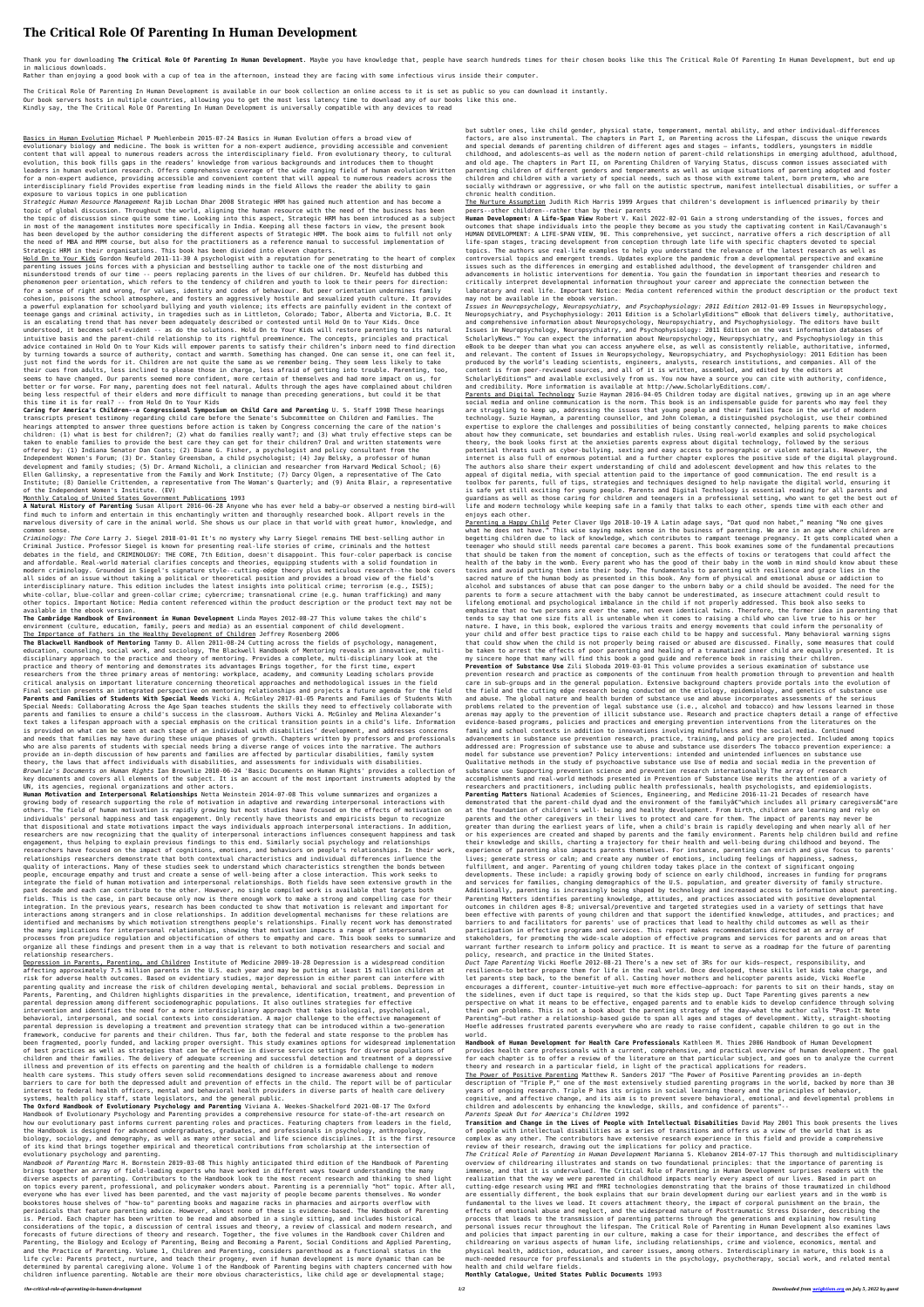## **The Critical Role Of Parenting In Human Development**

Thank you for downloading The Critical Role Of Parenting In Human Development. Maybe you have knowledge that, people have search hundreds times for their chosen books like this The Critical Role Of Parenting In Human Devel in malicious downloads.

Rather than enjoying a good book with a cup of tea in the afternoon, instead they are facing with some infectious virus inside their computer.

The Critical Role Of Parenting In Human Development is available in our book collection an online access to it is set as public so you can download it instantly. Our book servers hosts in multiple countries, allowing you to get the most less latency time to download any of our books like this one. Kindly say, the The Critical Role Of Parenting In Human Development is universally compatible with any devices to read

Basics in Human Evolution Michael P Muehlenbein 2015-07-24 Basics in Human Evolution offers a broad view of evolutionary biology and medicine. The book is written for a non-expert audience, providing accessible and convenient content that will appeal to numerous readers across the interdisciplinary field. From evolutionary theory, to cultural evolution, this book fills gaps in the readers' knowledge from various backgrounds and introduces them to thought leaders in human evolution research. Offers comprehensive coverage of the wide ranging field of human evolution Written for a non-expert audience, providing accessible and convenient content that will appeal to numerous readers across the interdisciplinary field Provides expertise from leading minds in the field Allows the reader the ability to gain exposure to various topics in one publication

*Strategic Human Resource Management* Rajib Lochan Dhar 2008 Strategic HRM has gained much attention and has become a topic of global discussion. Throughout the world, aligning the human resource with the need of the business has been the topic of discussion since quite some time. Looking into this aspect, Strategic HRM has been introduced as a subject in most of the management institutes more specifically in India. Keeping all these factors in view, the present book has been developed by the author considering the different aspects of Strategic HRM. The book aims to fulfill not only the need of MBA and MPM course, but also for the practitioners as a reference manual to successful implementation of Strategic HRM in their organisations. This book has been divided into eleven chapters.

Hold On to Your Kids Gordon Neufeld 2011-11-30 A psychologist with a reputation for penetrating to the heart of complex parenting issues joins forces with a physician and bestselling author to tackle one of the most disturbing and misunderstood trends of our time -- peers replacing parents in the lives of our children. Dr. Neufeld has dubbed this phenomenon peer orientation, which refers to the tendency of children and youth to look to their peers for direction: for a sense of right and wrong, for values, identity and codes of behaviour. But peer orientation undermines family cohesion, poisons the school atmosphere, and fosters an aggressively hostile and sexualized youth culture. It provides a powerful explanation for schoolyard bullying and youth violence; its effects are painfully evident in the context of teenage gangs and criminal activity, in tragedies such as in Littleton, Colorado; Tabor, Alberta and Victoria, B.C. It is an escalating trend that has never been adequately described or contested until Hold On to Your Kids. Once understood, it becomes self-evident -- as do the solutions. Hold On to Your Kids will restore parenting to its natural intuitive basis and the parent-child relationship to its rightful preeminence. The concepts, principles and practical advice contained in Hold On to Your Kids will empower parents to satisfy their children's inborn need to find direction by turning towards a source of authority, contact and warmth. Something has changed. One can sense it, one can feel it, just not find the words for it. Children are not quite the same as we remember being. They seem less likely to take their cues from adults, less inclined to please those in charge, less afraid of getting into trouble. Parenting, too, seems to have changed. Our parents seemed more confident, more certain of themselves and had more impact on us, for better or for worse. For many, parenting does not feel natural. Adults through the ages have complained about children being less respectful of their elders and more difficult to manage than preceding generations, but could it be that this time it is for real? -- from Hold On to Your Kids

**Caring for America's Children--a Congressional Symposium on Child Care and Parenting** U. S. Staff 1998 These hearings transcripts present testimony regarding child care before the Senate's Subcommittee on Children and Families. The hearings attempted to answer three questions before action is taken by Congress concerning the care of the nation's children: (1) what is best for children?; (2) what do families really want?; and (3) what truly effective steps can be taken to enable families to provide the best care they can get for their children? Oral and written statements were offered by: (1) Indiana Senator Dan Coats; (2) Diane G. Fisher, a psychologist and policy consultant from the Independent Women's Forum; (3) Dr. Stanley Greensban, a child psychologist; (4) Jay Belsky, a professor of human development and family studies; (5) Dr. Armand Nicholi, a clinician and researcher from Harvard Medical School; (6) Ellen Gallinsky, a representative from the Family and Work Institute; (7) Darcy Olgen, a representative of The Cato Institute; (8) Danielle Crittenden, a representative from The Woman's Quarterly; and (9) Anita Blair, a representative of the Independent Women's Institute. (EV)

## Monthly Catalog of United States Government Publications 1993

**A Natural History of Parenting** Susan Allport 2016-06-28 Anyone who has ever held a baby—or observed a nesting bird—will find much to inform and entertain in this enchantingly written and thoroughly researched book. Allport revels in the marvelous diversity of care in the animal world. She shows us our place in that world with great humor, knowledge, and common sense.

*Criminology: The Core* Larry J. Siegel 2018-01-01 It's no mystery why Larry Siegel remains THE best-selling author in Criminal Justice. Professor Siegel is known for presenting real-life stories of crime, criminals and the hottest debates in the field, and CRIMINOLOGY: THE CORE, 7th Edition, doesn't disappoint. This four-color paperback is concise and affordable. Real-world material clarifies concepts and theories, equipping students with a solid foundation in modern criminology. Grounded in Siegel's signature style--cutting-edge theory plus meticulous research--the book covers all sides of an issue without taking a political or theoretical position and provides a broad view of the field's interdisciplinary nature. This edition includes the latest insights into political crime; terrorism (e.g., ISIS); white-collar, blue-collar and green-collar crime; cybercrime; transnational crime (e.g. human trafficking) and many other topics. Important Notice: Media content referenced within the product description or the product text may not be available in the ebook version.

**The Cambridge Handbook of Environment in Human Development** Linda Mayes 2012-08-27 This volume takes the child's environment (culture, education, family, peers and media) as an essential component of child development. The Importance of Fathers in the Healthy Development of Children Jeffrey Rosenberg 2006

**The Blackwell Handbook of Mentoring** Tammy D. Allen 2011-08-24 Cutting across the fields of psychology, management, education, counseling, social work, and sociology, The Blackwell Handbook of Mentoring reveals an innovative, multidisciplinary approach to the practice and theory of mentoring. Provides a complete, multi-disciplinary look at the practice and theory of mentoring and demonstrates its advantages Brings together, for the first time, expert researchers from the three primary areas of mentoring: workplace, academy, and community Leading scholars provide critical analysis on important literature concerning theoretical approaches and methodological issues in the field Final section presents an integrated perspective on mentoring relationships and projects a future agenda for the field **Parents and Families of Students With Special Needs** Vicki A. McGinley 2017-01-05 Parents and Families of Students With Special Needs: Collaborating Across the Age Span teaches students the skills they need to effectively collaborate with parents and families to ensure a child's success in the classroom. Authors Vicki A. McGinley and Melina Alexander's text takes a lifespan approach with a special emphasis on the critical transition points in a child's life. Information is provided on what can be seen at each stage of an individual with disabilities' development, and addresses concerns and needs that families may have during these unique phases of growth. Chapters written by professors and professionals who are also parents of students with special needs bring a diverse range of voices into the narrative. The authors provide an in-depth discussion of how parents and families are affected by particular disabilities, family system theory, the laws that affect individuals with disabilities, and assessments for individuals with disabilities. *Brownlie's Documents on Human Rights* Ian Brownlie 2010-06-24 'Basic Documents on Human Rights' provides a collection of key documents and covers all elements of the subject. It is an account of the most important instruments adopted by the UN, its agencies, regional organizations and other actors.

**Human Motivation and Interpersonal Relationships** Netta Weinstein 2014-07-08 This volume summarizes and organizes a growing body of research supporting the role of motivation in adaptive and rewarding interpersonal interactions with others. The field of human motivation is rapidly growing but most studies have focused on the effects of motivation on individuals' personal happiness and task engagement. Only recently have theorists and empiricists begun to recognize that dispositional and state motivations impact the ways individuals approach interpersonal interactions. In addition, researchers are now recognizing that the quality of interpersonal interactions influences consequent happiness and task engagement, thus helping to explain previous findings to this end. Similarly social psychology and relationships researchers have focused on the impact of cognitions, emotions, and behaviors on people's relationships. In their work, relationships researchers demonstrate that both contextual characteristics and individual differences influence the quality of interactions. Many of these studies seek to understand which characteristics strengthen the bonds between people, encourage empathy and trust and create a sense of well-being after a close interaction. This work seeks to integrate the field of human motivation and interpersonal relationships. Both fields have seen extensive growth in the past decade and each can contribute to the other. However, no single compiled work is available that targets both fields. This is the case, in part because only now is there enough work to make a strong and compelling case for their integration. In the previous years, research has been conducted to show that motivation is relevant and important for interactions among strangers and in close relationships. In addition developmental mechanisms for these relations are identified and mechanisms by which motivation strengthens people's relationships. Finally recent work has demonstrated the many implications for interpersonal relationships, showing that motivation impacts a range of interpersonal processes from prejudice regulation and objectification of others to empathy and care. This book seeks to summarize and organize all these findings and present them in a way that is relevant to both motivation researchers and social and relationship researchers.

Depression in Parents, Parenting, and Children Institute of Medicine 2009-10-28 Depression is a widespread condition affecting approximately 7.5 million parents in the U.S. each year and may be putting at least 15 million children at risk for adverse health outcomes. Based on evidentiary studies, major depression in either parent can interfere with parenting quality and increase the risk of children developing mental, behavioral and social problems. Depression in Parents, Parenting, and Children highlights disparities in the prevalence, identification, treatment, and prevention of parental depression among different sociodemographic populations. It also outlines strategies for effective intervention and identifies the need for a more interdisciplinary approach that takes biological, psychological, behavioral, interpersonal, and social contexts into consideration. A major challenge to the effective management of parental depression is developing a treatment and prevention strategy that can be introduced within a two-generation framework, conducive for parents and their children. Thus far, both the federal and state response to the problem has been fragmented, poorly funded, and lacking proper oversight. This study examines options for widespread implementation of best practices as well as strategies that can be effective in diverse service settings for diverse populations of children and their families. The delivery of adequate screening and successful detection and treatment of a depressive illness and prevention of its effects on parenting and the health of children is a formidable challenge to modern health care systems. This study offers seven solid recommendations designed to increase awareness about and remove barriers to care for both the depressed adult and prevention of effects in the child. The report will be of particular interest to federal health officers, mental and behavioral health providers in diverse parts of health care delivery systems, health policy staff, state legislators, and the general public. **The Oxford Handbook of Evolutionary Psychology and Parenting** Viviana A. Weekes-Shackelford 2021-08-17 The Oxford Handbook of Evolutionary Psychology and Parenting provides a comprehensive resource for state-of-the-art research on how our evolutionary past informs current parenting roles and practices. Featuring chapters from leaders in the field, the Handbook is designed for advanced undergraduates, graduates, and professionals in psychology, anthropology, biology, sociology, and demography, as well as many other social and life science disciplines. It is the first resource of its kind that brings together empirical and theoretical contributions from scholarship at the intersection of evolutionary psychology and parenting. *Handbook of Parenting* Marc H. Bornstein 2019-03-08 This highly anticipated third edition of the Handbook of Parenting brings together an array of field-leading experts who have worked in different ways toward understanding the many diverse aspects of parenting. Contributors to the Handbook look to the most recent research and thinking to shed light on topics every parent, professional, and policymaker wonders about. Parenting is a perennially "hot" topic. After all, everyone who has ever lived has been parented, and the vast majority of people become parents themselves. No wonder bookstores house shelves of "how-to" parenting books and magazine racks in pharmacies and airports overflow with periodicals that feature parenting advice. However, almost none of these is evidence-based. The Handbook of Parenting is. Period. Each chapter has been written to be read and absorbed in a single sitting, and includes historical considerations of the topic, a discussion of central issues and theory, a review of classical and modern research, and forecasts of future directions of theory and research. Together, the five volumes in the Handbook cover Children and Parenting, the Biology and Ecology of Parenting, Being and Becoming a Parent, Social Conditions and Applied Parenting, and the Practice of Parenting. Volume 1, Children and Parenting, considers parenthood as a functional status in the life cycle: Parents protect, nurture, and teach their progeny, even if human development is more dynamic than can be determined by parental caregiving alone. Volume 1 of the Handbook of Parenting begins with chapters concerned with how children influence parenting. Notable are their more obvious characteristics, like child age or developmental stage;

but subtler ones, like child gender, physical state, temperament, mental ability, and other individual-differences factors, are also instrumental. The chapters in Part I, on Parenting across the Lifespan, discuss the unique rewards and special demands of parenting children of different ages and stages – infants, toddlers, youngsters in middle childhood, and adolescents—as well as the modern notion of parent-child relationships in emerging adulthood, adulthood, and old age. The chapters in Part II, on Parenting Children of Varying Status, discuss common issues associated with parenting children of different genders and temperaments as well as unique situations of parenting adopted and foster children and children with a variety of special needs, such as those with extreme talent, born preterm, who are socially withdrawn or aggressive, or who fall on the autistic spectrum, manifest intellectual disabilities, or suffer a chronic health condition.

The Nurture Assumption Judith Rich Harris 1999 Argues that children's development is influenced primarily by their peers--other children--rather than by their parents

**Human Development: A Life-Span View** Robert V. Kail 2022-02-01 Gain a strong understanding of the issues, forces and outcomes that shape individuals into the people they become as you study the captivating content in Kail/Cavanaugh's HUMAN DEVELOPMENT: A LIFE-SPAN VIEW, 9E. This comprehensive, yet succinct, narrative offers a rich description of all life-span stages, tracing development from conception through late life with specific chapters devoted to special topics. The authors use real-life examples to help you understand the relevance of the latest research as well as controversial topics and emergent trends. Updates explore the pandemic from a developmental perspective and examine issues such as the differences in emerging and established adulthood, the development of transgender children and advancements in holistic interventions for dementia. You gain the foundation in important theories and research to critically interpret developmental information throughout your career and appreciate the connection between the laboratory and real life. Important Notice: Media content referenced within the product description or the product text may not be available in the ebook version.

*Issues in Neuropsychology, Neuropsychiatry, and Psychophysiology: 2011 Edition* 2012-01-09 Issues in Neuropsychology, Neuropsychiatry, and Psychophysiology: 2011 Edition is a ScholarlyEditions™ eBook that delivers timely, authoritative, and comprehensive information about Neuropsychology, Neuropsychiatry, and Psychophysiology. The editors have built Issues in Neuropsychology, Neuropsychiatry, and Psychophysiology: 2011 Edition on the vast information databases of ScholarlyNews.™ You can expect the information about Neuropsychology, Neuropsychiatry, and Psychophysiology in this eBook to be deeper than what you can access anywhere else, as well as consistently reliable, authoritative, informed, and relevant. The content of Issues in Neuropsychology, Neuropsychiatry, and Psychophysiology: 2011 Edition has been produced by the world's leading scientists, engineers, analysts, research institutions, and companies. All of the content is from peer-reviewed sources, and all of it is written, assembled, and edited by the editors at ScholarlyEditions™ and available exclusively from us. You now have a source you can cite with authority, confidence, and credibility. More information is available at http://www.ScholarlyEditions.com/.

Parents and Digital Technology Suzie Hayman 2016-04-05 Children today are digital natives, growing up in an age where social media and online communication is the norm. This book is an indispensable guide for parents who may feel they are struggling to keep up, addressing the issues that young people and their families face in the world of modern technology. Suzie Hayman, a parenting counsellor, and John Coleman, a distinguished psychologist, use their combined expertise to explore the challenges and possibilities of being constantly connected, helping parents to make choices about how they communicate, set boundaries and establish rules. Using real-world examples and solid psychological theory, the book looks first at the anxieties parents express about digital technology, followed by the serious potential threats such as cyber-bullying, sexting and easy access to pornographic or violent materials. However, the internet is also full of enormous potential and a further chapter explores the positive side of the digital playground. The authors also share their expert understanding of child and adolescent development and how this relates to the appeal of digital media, with special attention paid to the importance of good communication. The end result is a toolbox for parents, full of tips, strategies and techniques designed to help navigate the digital world, ensuring it is safe yet still exciting for young people. Parents and Digital Technology is essential reading for all parents and

guardians as well as those caring for children and teenagers in a professional setting, who want to get the best out of life and modern technology while keeping safe in a family that talks to each other, spends time with each other and enjoys each other.

Parenting a Happy Child Peter Claver Ugo 2018-10-19 A Latin adage says, "Dat quod non habet," meaning "No one gives what he does not have." This wise saying makes sense in the business of parenting. We are in an age where children are begetting children due to lack of knowledge, which contributes to rampant teenage pregnancy. It gets complicated when a teenager who should still needs parental care becomes a parent. This book examines some of the fundamental precautions that should be taken from the moment of conception, such as the effects of toxins or teratogens that could affect the health of the baby in the womb. Every parent who has the good of their baby in the womb in mind should know about these toxins and avoid putting them into their body. The fundamentals to parenting with resilience and grace lies in the sacred nature of the human body as presented in this book. Any form of physical and emotional abuse or addiction to alcohol and substances of abuse that can pose danger to the unborn baby or a child should be avoided. The need for the parents to form a secure attachment with the baby cannot be underestimated, as insecure attachment could result to lifelong emotional and psychological imbalance in the child if not properly addressed. This book also seeks to emphasize that no two persons are ever the same, not even identical twins. Therefore, the former idea in parenting that tends to say that one size fits all is untenable when it comes to raising a child who can live true to his or her nature. I have, in this book, explored the various traits and energy movements that could inform the personality of your child and offer best practice tips to raise each child to be happy and successful. Many behavioral warning signs that could show when the child is not properly being raised or abused are discussed. Finally, some measures that could be taken to arrest the effects of poor parenting and healing of a traumatized inner child are equally presented. It is my sincere hope that many will find this book a good guide and reference book in raising their children. **Prevention of Substance Use** Zili Sloboda 2019-03-01 This volume provides a serious examination of substance use prevention research and practice as components of the continuum from health promotion through to prevention and health care in sub-groups and in the general population. Extensive background chapters provide portals into the evolution of the field and the cutting edge research being conducted on the etiology, epidemiology, and genetics of substance use and abuse. The global nature and health burden of substance use and abuse incorporates assessments of the serious problems related to the prevention of legal substance use (i.e., alcohol and tobacco) and how lessons learned in those arenas may apply to the prevention of illicit substance use. Research and practice chapters detail a range of effective evidence-based programs, policies and practices and emerging prevention interventions from the literatures on the family and school contexts in addition to innovations involving mindfulness and the social media. Continued advancements in substance use prevention research, practice, training, and policy are projected. Included among topics addressed are: Progression of substance use to abuse and substance use disorders The tobacco prevention experience: a model for substance use prevention? Policy interventions: intended and unintended influences on substance use Qualitative methods in the study of psychoactive substance use Use of media and social media in the prevention of substance use Supporting prevention science and prevention research internationally The array of research accomplishments and real-world methods presented in Prevention of Substance Use merits the attention of a variety of researchers and practitioners, including public health professionals, health psychologists, and epidemiologists. **Parenting Matters** National Academies of Sciences, Engineering, and Medicine 2016-11-21 Decades of research have demonstrated that the parent-child dyad and the environment of the familyâ€"which includes all primary caregiversâ€"are at the foundation of children's well- being and healthy development. From birth, children are learning and rely on parents and the other caregivers in their lives to protect and care for them. The impact of parents may never be greater than during the earliest years of life, when a child's brain is rapidly developing and when nearly all of her or his experiences are created and shaped by parents and the family environment. Parents help children build and refine their knowledge and skills, charting a trajectory for their health and well-being during childhood and beyond. The experience of parenting also impacts parents themselves. For instance, parenting can enrich and give focus to parents' lives; generate stress or calm; and create any number of emotions, including feelings of happiness, sadness, fulfillment, and anger. Parenting of young children today takes place in the context of significant ongoing developments. These include: a rapidly growing body of science on early childhood, increases in funding for programs and services for families, changing demographics of the U.S. population, and greater diversity of family structure. Additionally, parenting is increasingly being shaped by technology and increased access to information about parenting. Parenting Matters identifies parenting knowledge, attitudes, and practices associated with positive developmental outcomes in children ages 0-8; universal/preventive and targeted strategies used in a variety of settings that have been effective with parents of young children and that support the identified knowledge, attitudes, and practices; and barriers to and facilitators for parents' use of practices that lead to healthy child outcomes as well as their participation in effective programs and services. This report makes recommendations directed at an array of stakeholders, for promoting the wide-scale adoption of effective programs and services for parents and on areas that warrant further research to inform policy and practice. It is meant to serve as a roadmap for the future of parenting policy, research, and practice in the United States.

*Duct Tape Parenting* Vicki Hoefle 2012-08-21 There's a new set of 3Rs for our kids—respect, responsibility, and resilience—to better prepare them for life in the real world. Once developed, these skills let kids take charge, and let parents step back, to the benefit of all. Casting hover mothers and helicopter parents aside, Vicki Hoefle encourages a different, counter-intuitive-yet much more effective-approach: for parents to sit on their hands, stay the sidelines, even if duct tape is required, so that the kids step up. Duct Tape Parenting gives parents a new perspective on what it means to be effective, engaged parents and to enable kids to develop confidence through solving their own problems. This is not a book about the parenting strategy of the day—what the author calls "Post-It Note Parenting"—but rather a relationship-based guide to span all ages and stages of development. Witty, straight-shooting Hoefle addresses frustrated parents everywhere who are ready to raise confident, capable children to go out in the world.

**Handbook of Human Development for Health Care Professionals** Kathleen M. Thies 2006 Handbook of Human Development provides health care professionals with a current, comprehensive, and practical overview of human development. The goal for each chapter is to offer a review of the literature on that particular subject, and goes on to analyze the current theory and research in a particular field, in light of the practical applications for readers.

The Power of Positive Parenting Matthew R. Sanders 2017 "The Power of Positive Parenting provides an in-depth description of "Triple P," one of the most extensively studied parenting programs in the world, backed by more than 30 years of ongoing research. Triple P has its origins in social learning theory and the principles of behavior, cognitive, and affective change, and its aim is to prevent severe behavioral, emotional, and developmental problems in children and adolescents by enhancing the knowledge, skills, and confidence of parents"--

*Parents Speak Out for America's Children* 1992

**Transition and Change in the Lives of People with Intellectual Disabilities** David May 2001 This book presents the lives of people with intellectual disabilities as a series of transitions and offers us a view of the world that is as complex as any other. The contributors have extensive research experience in this field and provide a comprehensive review of their research, drawing out the implications for policy and practice.

*The Critical Role of Parenting in Human Development* Marianna S. Klebanov 2014-07-17 This thorough and multidisciplinary overview of childrearing illustrates and stands on two foundational principles: that the importance of parenting is immense, and that it is undervalued. The Critical Role of Parenting in Human Development surprises readers with the realization that the way we were parented in childhood impacts nearly every aspect of our lives. Based in part on cutting-edge research using MRI and fMRI technologies demonstrating that the brains of those traumatized in childhood are essentially different, the book explains that our brain development during our earliest years and in the womb is fundamental to the lives we lead. It covers attachment theory, the impact of corporal punishment on the brain, the effects of emotional abuse and neglect, and the widespread nature of Posttraumatic Stress Disorder, describing the process that leads to the transmission of parenting patterns through the generations and explaining how resulting personal issues recur throughout the lifespan. The Critical Role of Parenting in Human Development also examines laws and policies that impact parenting in our culture, making a case for their importance, and describes the effect of childrearing on various aspects of human life, including relationships, crime and violence, economics, mental and physical health, addiction, education, and career issues, among others. Interdisciplinary in nature, this book is a much-needed resource for professionals and students in the psychology, psychotherapy, social work, and related mental health and child welfare fields.

**Monthly Catalogue, United States Public Documents** 1993